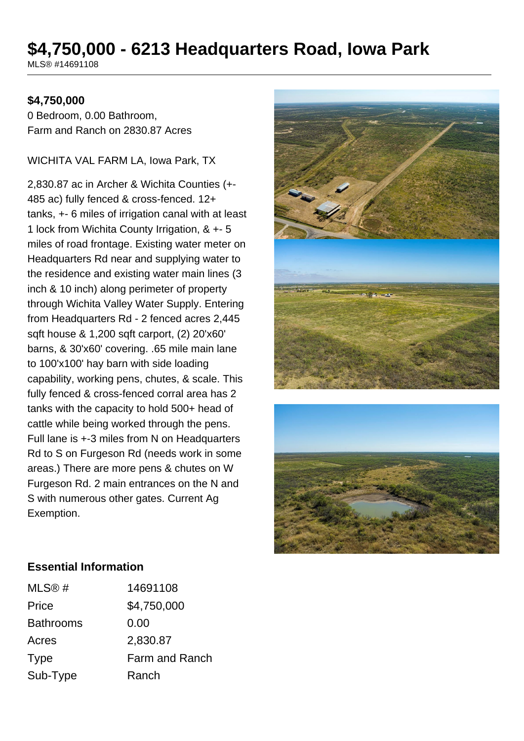# **\$4,750,000 - 6213 Headquarters Road, Iowa Park**

MLS® #14691108

#### **\$4,750,000**

0 Bedroom, 0.00 Bathroom, Farm and Ranch on 2830.87 Acres

WICHITA VAL FARM LA, Iowa Park, TX

2,830.87 ac in Archer & Wichita Counties (+- 485 ac) fully fenced & cross-fenced. 12+ tanks, +- 6 miles of irrigation canal with at least 1 lock from Wichita County Irrigation, & +- 5 miles of road frontage. Existing water meter on Headquarters Rd near and supplying water to the residence and existing water main lines (3 inch & 10 inch) along perimeter of property through Wichita Valley Water Supply. Entering from Headquarters Rd - 2 fenced acres 2,445 sqft house & 1,200 sqft carport, (2) 20'x60' barns, & 30'x60' covering. .65 mile main lane to 100'x100' hay barn with side loading capability, working pens, chutes, & scale. This fully fenced & cross-fenced corral area has 2 tanks with the capacity to hold 500+ head of cattle while being worked through the pens. Full lane is +-3 miles from N on Headquarters Rd to S on Furgeson Rd (needs work in some areas.) There are more pens & chutes on W Furgeson Rd. 2 main entrances on the N and S with numerous other gates. Current Ag Exemption.





#### **Essential Information**

| 14691108       |
|----------------|
| \$4,750,000    |
| 0.00           |
| 2,830.87       |
| Farm and Ranch |
| Ranch          |
|                |